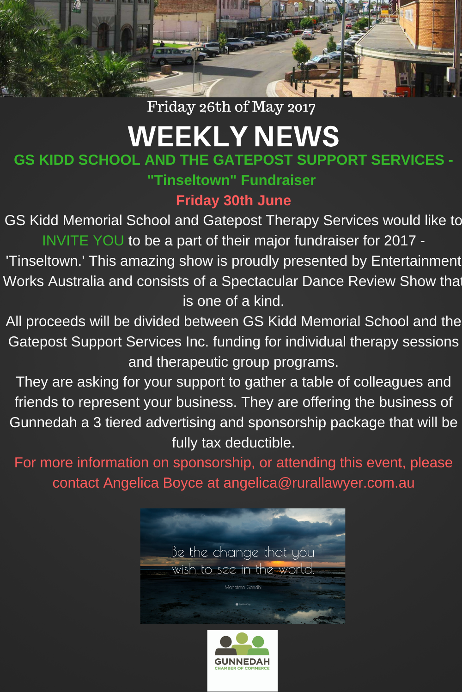

## Friday 26th of May 2017

# WEEKLY NEWS

# **GS KIDD SCHOOL AND THE GATEPOST SUPPORT SERVICES -**

**"Tinseltown" Fundraiser**

### **Friday 30th June**

GS Kidd Memorial School and Gatepost Therapy Services would like to INVITE YOU to be a part of their major fundraiser for 2017 -

'Tinseltown.' This amazing show is proudly presented by Entertainment Works Australia and consists of a Spectacular Dance Review Show that is one of a kind.

All proceeds will be divided between GS Kidd Memorial School and the Gatepost Support Services Inc. funding for individual therapy sessions and therapeutic group programs.

They are asking for your support to gather a table of colleagues and friends to represent your business. They are offering the business of Gunnedah a 3 tiered advertising and sponsorship package that will be fully tax deductible.

For more information on sponsorship, or attending this event, please contact Angelica Boyce at angelica@rurallawyer.com.au



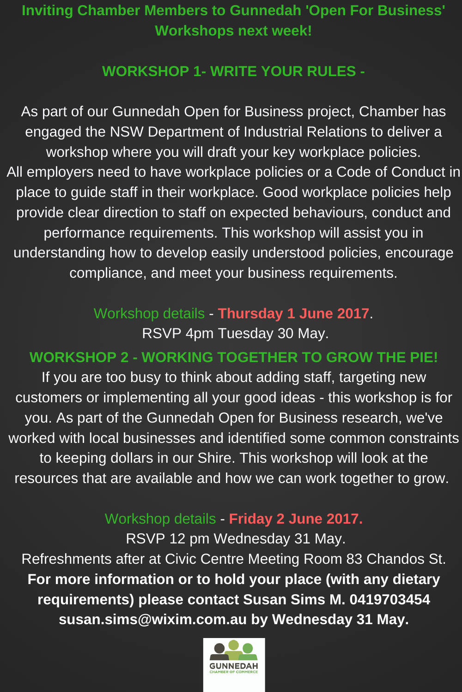# **Inviting Chamber Members to Gunnedah 'Open For Business' Workshops next week!**

#### **WORKSHOP 1- WRITE YOUR RULES -**

As part of our Gunnedah Open for Business project, Chamber has engaged the NSW Department of Industrial Relations to deliver a workshop where you will draft your key workplace policies. All employers need to have workplace policies or a Code of Conduct in place to guide staff in their workplace. Good workplace policies help provide clear direction to staff on expected behaviours, conduct and performance requirements. This workshop will assist you in understanding how to develop easily understood policies, encourage compliance, and meet your business requirements.

# Workshop details - **Thursday 1 June 2017**.

RSVP 4pm Tuesday 30 May.

### **WORKSHOP 2 - WORKING TOGETHER TO GROW THE PIE!**

If you are too busy to think about adding staff, targeting new customers or implementing all your good ideas - this workshop is for you. As part of the Gunnedah Open for Business research, we've worked with local businesses and identified some common constraints to keeping dollars in our Shire. This workshop will look at the resources that are available and how we can work together to grow.

### Workshop details - **Friday 2 June 2017.**

RSVP 12 pm Wednesday 31 May. Refreshments after at Civic Centre Meeting Room 83 Chandos St. **For more information or to hold your place (with any dietary requirements) please contact Susan Sims M. 0419703454 susan.sims@wixim.com.au by Wednesday 31 May.**